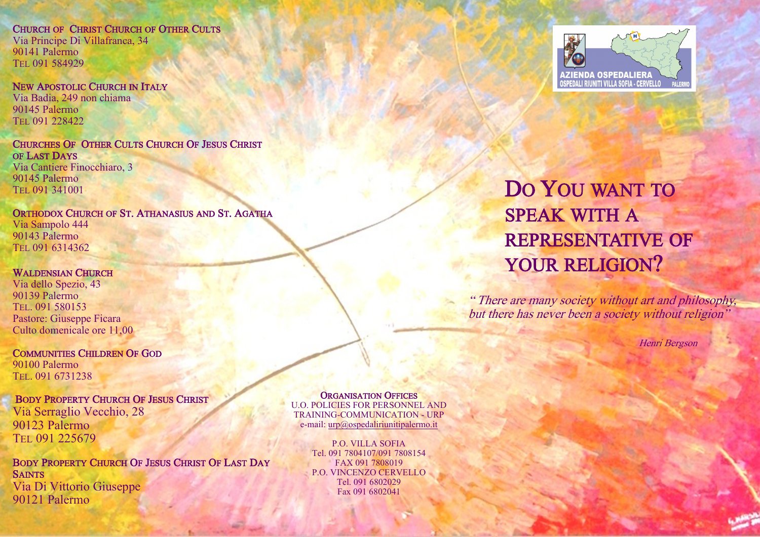## CHURCH OF CHRIST CHURCH OF OTHER CULTS

Via Principe Di Villafranca, 34 90141 Palermo TEL 091 584929

## NEW APOSTOLIC CHURCH IN ITALY

Via Badia, 249 non chiama 90145 Palermo TEL 091 228422

# CHURCHES OF OTHER CULTS CHURCH OF JESUS CHRIST OF LAST DAYS Via Cantiere Finocchiaro, 3

90145 Palermo TEL 091 341001

### ORTHODOX CHURCH OF ST. ATHANASIUS AND ST. AGATHA Via Sampolo 444

90143 Palermo TEL 091 6314362

## WALDENSIAN CHURCH

Via dello Spezio, 43 90139 Palermo TEL. 091 580153 Pastore: Giuseppe Ficara Culto domenicale ore 11,00

# COMMUNITIES CHILDREN OF GOD 90100 Palermo TEL. 091 6731238

## BODY P[ROPERTY](http://www.misterimprese.it/sicilia/palermo/palermo/chiese-e-centri-di-altri-culti-religioni-varie/1998339.html) CHURCH OF JESUS CHRIST

Via Serraglio Vecchio, 28 90123 Palermo TEL 091 225679

# BODY PROPERTY CHURCH OF JESUS CHRIST OF LAST DAY **SAINTS** Via Di Vittorio Giuseppe 90121 Palermo

#### ORGANISATION OFFICES

U.O. POLICIES FOR PERSONNEL AND TRAINING-COMMUNICATION - URP e-mail: [urp@ospedaliriunitipalermo.it](mailto:urp@ospedaliriunitipalermo.it)

> P.O. VILLA SOFIA Tel. 091 7804107/091 7808154 FAX 091 7808019 P.O. VINCENZO CERVELLO Tel. 091 6802029 Fax 091 6802041



# DO YOU WANT TO SPEAK WITH A REPRESENTATIVE OF YOUR RELIGION?

" There are many society without art and philosophy, but there has never been a society without religion"

Henri Bergson